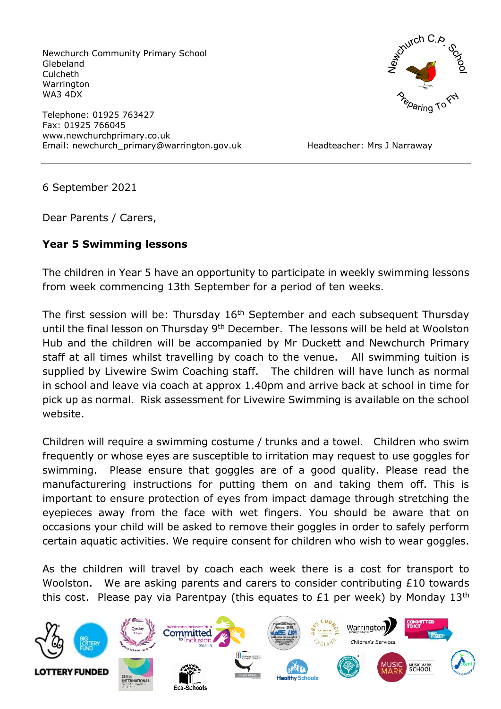Newchurch Community Primary School Glebeland Culcheth **Warrington** WA3 4DX

Telephone: 01925 763427 Fax: 01925 766045 www.newchurchprimary.co.uk Email: newchurch\_primary@warrington.gov.uk Headteacher: Mrs J Narraway



6 September 2021

Dear Parents / Carers,

## **Year 5 Swimming lessons**

The children in Year 5 have an opportunity to participate in weekly swimming lessons from week commencing 13th September for a period of ten weeks.

The first session will be: Thursday 16<sup>th</sup> September and each subsequent Thursday until the final lesson on Thursday 9<sup>th</sup> December. The lessons will be held at Woolston Hub and the children will be accompanied by Mr Duckett and Newchurch Primary staff at all times whilst travelling by coach to the venue. All swimming tuition is supplied by Livewire Swim Coaching staff. The children will have lunch as normal in school and leave via coach at approx 1.40pm and arrive back at school in time for pick up as normal. Risk assessment for Livewire Swimming is available on the school website.

Children will require a swimming costume / trunks and a towel. Children who swim frequently or whose eyes are susceptible to irritation may request to use goggles for swimming. Please ensure that goggles are of a good quality. Please read the manufacturering instructions for putting them on and taking them off. This is important to ensure protection of eyes from impact damage through stretching the eyepieces away from the face with wet fingers. You should be aware that on occasions your child will be asked to remove their goggles in order to safely perform certain aquatic activities. We require consent for children who wish to wear goggles.

As the children will travel by coach each week there is a cost for transport to Woolston. We are asking parents and carers to consider contributing £10 towards this cost. Please pay via Parentpay (this equates to £1 per week) by Monday  $13<sup>th</sup>$